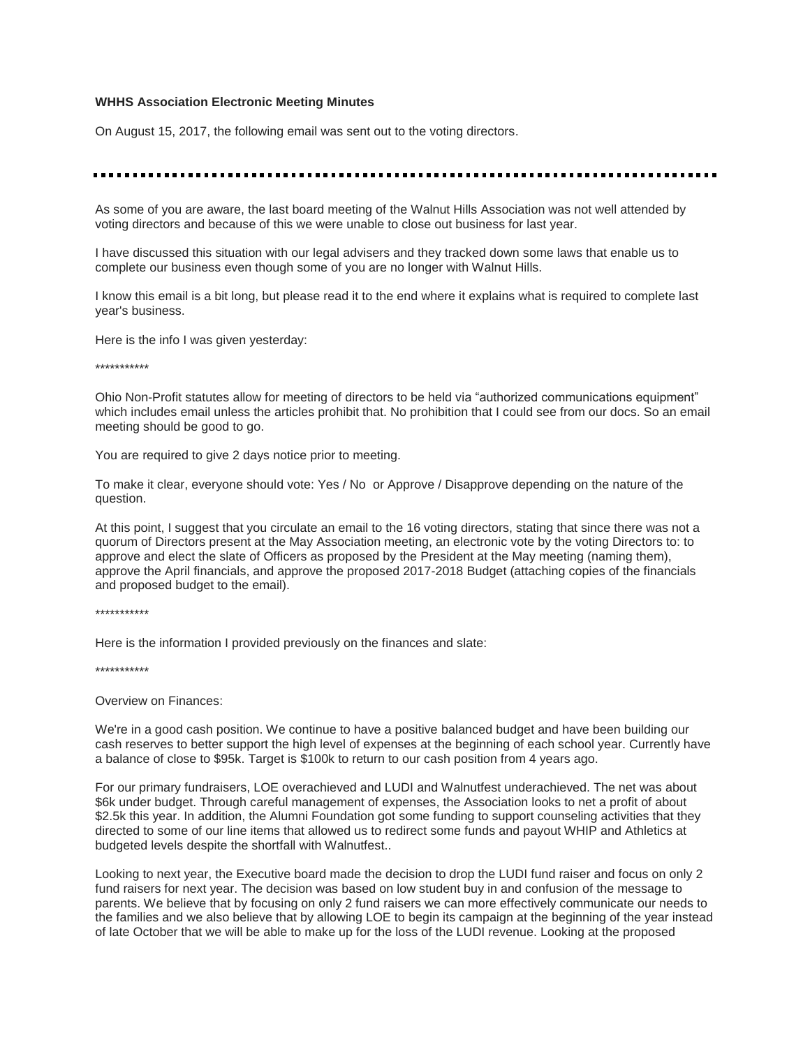#### **WHHS Association Electronic Meeting Minutes**

On August 15, 2017, the following email was sent out to the voting directors.

As some of you are aware, the last board meeting of the Walnut Hills Association was not well attended by voting directors and because of this we were unable to close out business for last year.

I have discussed this situation with our legal advisers and they tracked down some laws that enable us to complete our business even though some of you are no longer with Walnut Hills.

I know this email is a bit long, but please read it to the end where it explains what is required to complete last year's business.

Here is the info I was given yesterday:

\*\*\*\*\*\*\*\*\*\*\*

Ohio Non-Profit statutes allow for meeting of directors to be held via "authorized communications equipment" which includes email unless the articles prohibit that. No prohibition that I could see from our docs. So an email meeting should be good to go.

You are required to give 2 days notice prior to meeting.

To make it clear, everyone should vote: Yes / No or Approve / Disapprove depending on the nature of the question.

At this point, I suggest that you circulate an email to the 16 voting directors, stating that since there was not a quorum of Directors present at the May Association meeting, an electronic vote by the voting Directors to: to approve and elect the slate of Officers as proposed by the President at the May meeting (naming them), approve the April financials, and approve the proposed 2017-2018 Budget (attaching copies of the financials and proposed budget to the email).

#### \*\*\*\*\*\*\*\*\*\*\*

Here is the information I provided previously on the finances and slate:

\*\*\*\*\*\*\*\*\*\*\*

Overview on Finances:

We're in a good cash position. We continue to have a positive balanced budget and have been building our cash reserves to better support the high level of expenses at the beginning of each school year. Currently have a balance of close to \$95k. Target is \$100k to return to our cash position from 4 years ago.

For our primary fundraisers, LOE overachieved and LUDI and Walnutfest underachieved. The net was about \$6k under budget. Through careful management of expenses, the Association looks to net a profit of about \$2.5k this year. In addition, the Alumni Foundation got some funding to support counseling activities that they directed to some of our line items that allowed us to redirect some funds and payout WHIP and Athletics at budgeted levels despite the shortfall with Walnutfest..

Looking to next year, the Executive board made the decision to drop the LUDI fund raiser and focus on only 2 fund raisers for next year. The decision was based on low student buy in and confusion of the message to parents. We believe that by focusing on only 2 fund raisers we can more effectively communicate our needs to the families and we also believe that by allowing LOE to begin its campaign at the beginning of the year instead of late October that we will be able to make up for the loss of the LUDI revenue. Looking at the proposed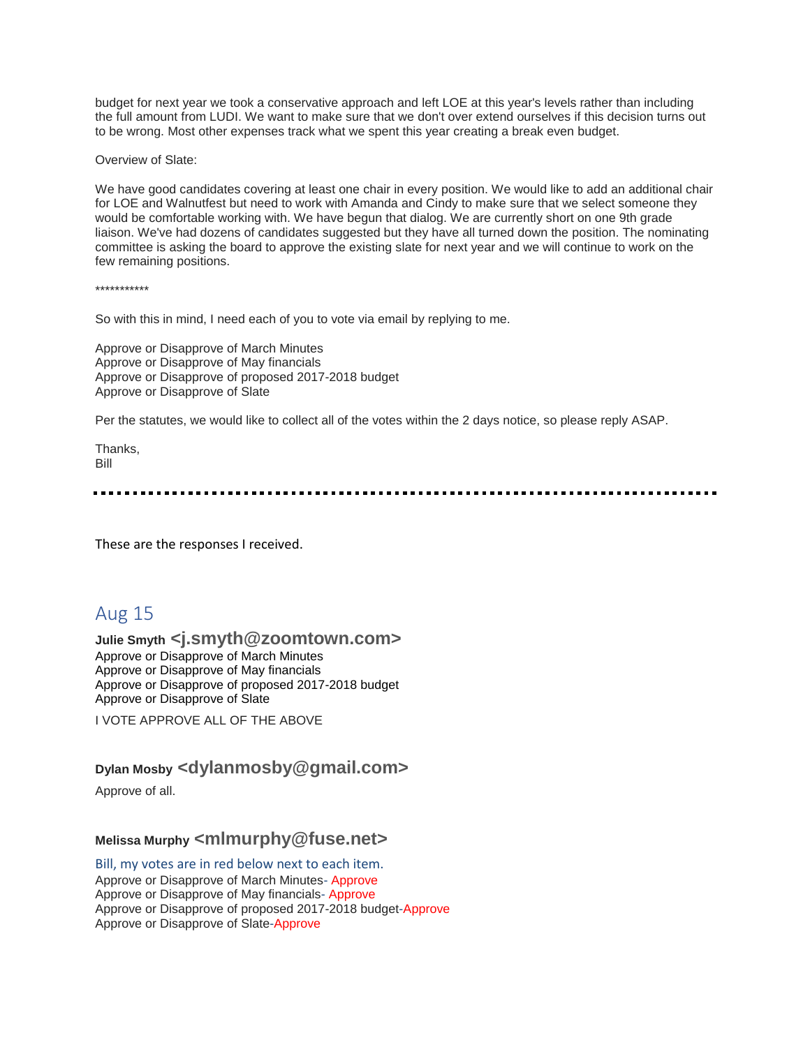budget for next year we took a conservative approach and left LOE at this year's levels rather than including the full amount from LUDI. We want to make sure that we don't over extend ourselves if this decision turns out to be wrong. Most other expenses track what we spent this year creating a break even budget.

Overview of Slate:

We have good candidates covering at least one chair in every position. We would like to add an additional chair for LOE and Walnutfest but need to work with Amanda and Cindy to make sure that we select someone they would be comfortable working with. We have begun that dialog. We are currently short on one 9th grade liaison. We've had dozens of candidates suggested but they have all turned down the position. The nominating committee is asking the board to approve the existing slate for next year and we will continue to work on the few remaining positions.

\*\*\*\*\*\*\*\*\*\*\*

So with this in mind, I need each of you to vote via email by replying to me.

Approve or Disapprove of March Minutes Approve or Disapprove of May financials Approve or Disapprove of proposed 2017-2018 budget Approve or Disapprove of Slate

Per the statutes, we would like to collect all of the votes within the 2 days notice, so please reply ASAP.

Thanks, Bill

These are the responses I received.

## Aug 15

#### **Julie Smyth <j.smyth@zoomtown.com>** Approve or Disapprove of March Minutes Approve or Disapprove of May financials Approve or Disapprove of proposed 2017-2018 budget Approve or Disapprove of Slate

I VOTE APPROVE ALL OF THE ABOVE

### **Dylan Mosby <dylanmosby@gmail.com>**

Approve of all.

### **Melissa Murphy <mlmurphy@fuse.net>**

Bill, my votes are in red below next to each item. Approve or Disapprove of March Minutes- Approve Approve or Disapprove of May financials- Approve Approve or Disapprove of proposed 2017-2018 budget-Approve Approve or Disapprove of Slate-Approve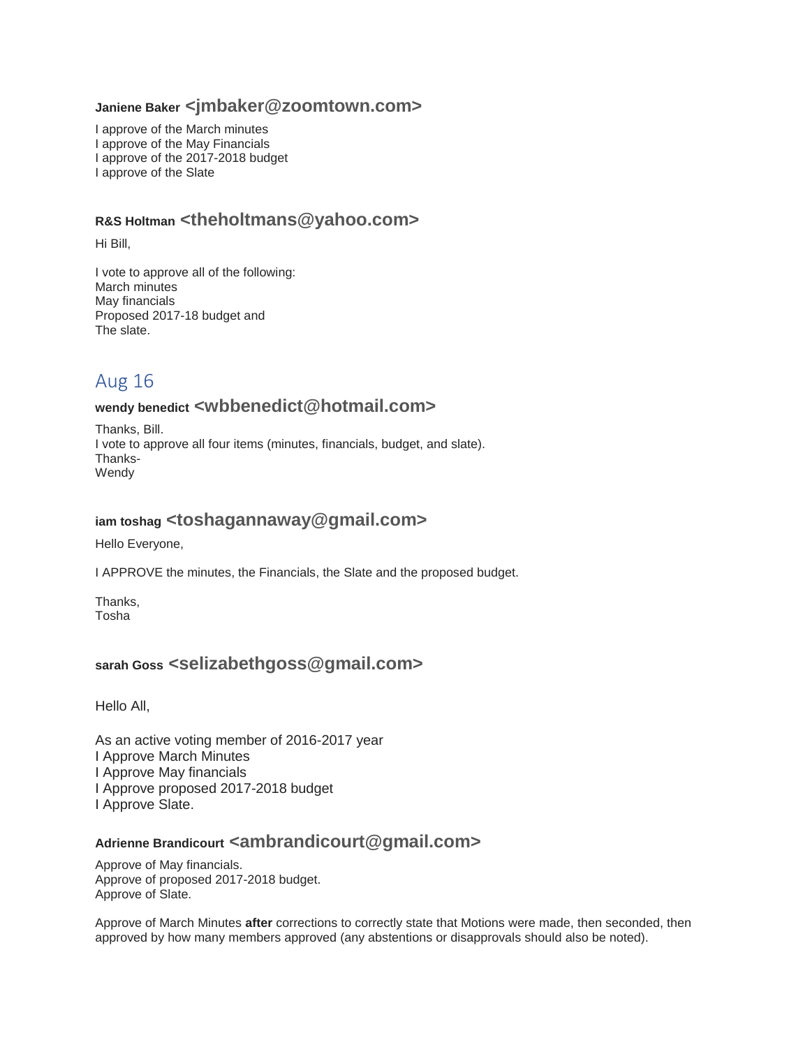### **Janiene Baker <jmbaker@zoomtown.com>**

I approve of the March minutes I approve of the May Financials I approve of the 2017-2018 budget I approve of the Slate

## **R&S Holtman <theholtmans@yahoo.com>**

Hi Bill,

I vote to approve all of the following: March minutes May financials Proposed 2017-18 budget and The slate.

# Aug 16

### **wendy benedict <wbbenedict@hotmail.com>**

Thanks, Bill. I vote to approve all four items (minutes, financials, budget, and slate). Thanks-Wendy

### **iam toshag <toshagannaway@gmail.com>**

Hello Everyone,

I APPROVE the minutes, the Financials, the Slate and the proposed budget.

Thanks, Tosha

## **sarah Goss <selizabethgoss@gmail.com>**

Hello All,

As an active voting member of 2016-2017 year I Approve March Minutes I Approve May financials I Approve proposed 2017-2018 budget I Approve Slate.

### **Adrienne Brandicourt <ambrandicourt@gmail.com>**

Approve of May financials. Approve of proposed 2017-2018 budget. Approve of Slate.

Approve of March Minutes **after** corrections to correctly state that Motions were made, then seconded, then approved by how many members approved (any abstentions or disapprovals should also be noted).